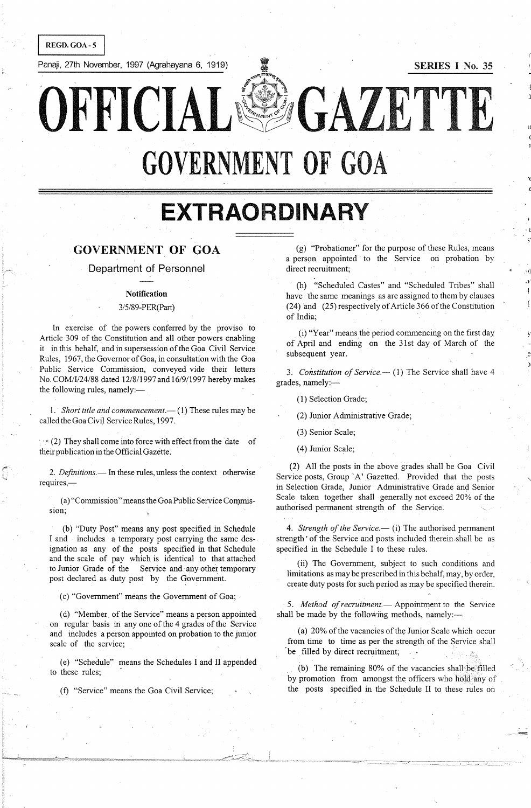REGD.GOA-S

Panaji, 27th November, 1997 (Agrahayana 6, 1919) **I SERIES I No. 35** 

l(

.(

 $\cdot$   $\epsilon$ 

:- <sup>11</sup> .Y I

,,-

OFFICIAL<sup>ESS</sup>GAZETTE

**GOVERNMENT OF GOA** 

**EXTRAORDINARY** 

# GOVERNMENT **OF** GOA

Department of Personnel

### Notification

### 3/5/89-PER{Part)

In exercise of the powers conferred by the proviso to Article 309 of the Constitution and all other powers enabling it in this behalf, and in supersession of the Goa Civil Service Rules, 1967, the Governor of Goa, in consultation with the Goa Public Service Commission, conveyed vide their letters No. COM/I/24/88 dated 12/8/1997 and 16/9/1997 hereby makes the following rules, namely:-

1. Short title and commencement.-- (1) These rules may be called the Goa Civil Service Rules, 1997.

 $\rightarrow$  (2) They shall come into force with effect from the date of their publication in the Official Gazette.

2. Definitions.— In these rules, unless the context otherwise requires,-

(a) "Commission" means the Goa Public Service Commission;

(b) "Duty Post" means any post specified in Schedule I and includes a temporary post carrying the same designation as any of the posts specified in that Schedule and the scale of pay which is identical to that attached to Junior Grade of the Service and any other temporary post declared as duty post by the Government.

(c) "Government" means the Government of Goa;

(d) "Member. of the Service" means a person appointed on regular basis in anyone of the 4 grades of the Service and includes a person appointed on probation to the junior scale of the service;

(e) "Schedule" means the Schedules I and II appended to these rules;

(f) "Service" means the Goa Civil Service;

(g) "Probationer" for the purpose of these Rules, means a person appointed to the Service on probation by direct recruitment;

(h) "Scheduled Castes" and "Scheduled Tribes" shall have the same meanings as are assigned to them by clauses (24) and (25) respectively of Article 366 of the Constitution of India;

(i) "Year" meansthe period commencing on the first day of April and ending on the 31st day of March of the subsequent year.

3. Constitution of Service.-- (1) The Service shall have 4 grades, namely:-

(1) Selection Grade;

(2) Junior Administrative Grade;

(3) Senior Scale;

(4) Junior Scale;

(2) All the posts in the above grades shall be Goa Civil Service posts, Group 'A' Gazetted. Provided that the posts in Selection Grade, Junior Administrative Grade and Senior Scale taken together shall generally not exceed 20% of the authorised permanent strength of the Service.

4. *Strength of the Service*.— (i) The authorised permanent strength' of the Service and posts included therein. shall be as specified in the Schedule I to these rules.

(ii) The Government, subject to such conditions and limitations as may be prescribed in this behalf, may, by order, create duty posts for such period as may be specified therein.

5. Method of recruitment - Appointment to the Service shall be made by the following methods, namely:-

(a)  $20\%$  of the vacancies of the Junior Scale which occur from time to time as per the strength of the Service shall 'be filled by direct recruitment;

(b) The remaining 80% of the vacancies shall be filled by promotion from amongst the officers who hold any of the posts specified in the Schedule II to these rules on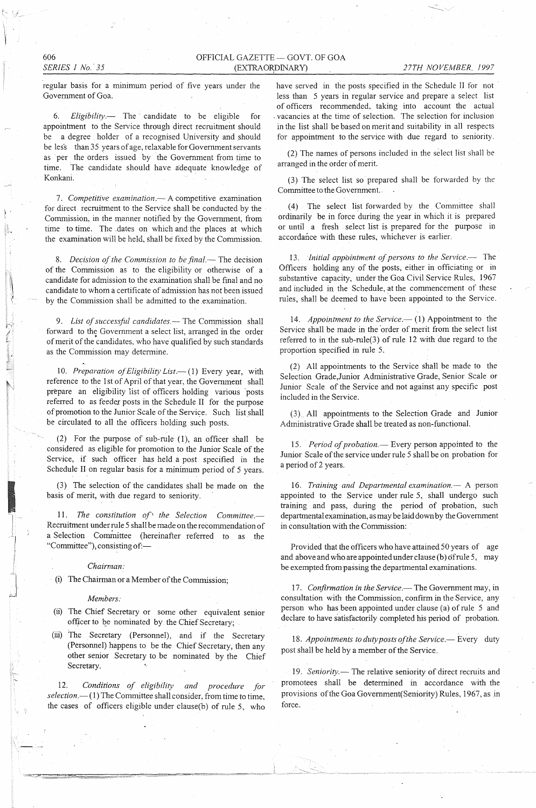606 *SERIES I No.' 35* 

 $\ell$ 

i. I' , <

I -

regular basis for a minimum period of five years under the Govemment of Goa.

*6. Eligibility.-* The candidate to be eligible for appointment to the Service through direct recruitment should be a degree holder of a recognised University and should be les's than 35 years of age, relaxable for Government servants as per the orders issued by the Government from time to time. The candidate should have adequate knowledge of Konkani.

*7. Competitive examination.-* A competitive examination for direct recruitment to the Service shall be conducted by the Commission, in the manner notified by the Government, from time to time. The dates on which and the places at which the examination will be held, shall be fixed by the Commission,

8. *Decision of the Commission to be final.*— The decision of the Commission as to the eligibility or otherwise of a candidate for admission to the examination shall be final and no candidate to whom a certificate of admission has not been issued by the Commission shall be admitted to the examination.

9. List of successful candidates. The Commission shall forward to the Government a select list, arranged in the order of merit of the candidates, who have qualified by such standards as the Commission may detennine.

10. Preparation of Eligibility List.-- (1) Every year, with reference to the 1st of April of that year, the Govemment shall prepare an eligibility list of officers holding various 'posts refened to as feeder posts in the Schedule II for the purpose of promotion to the Junior Scale of the Service. Such list shall be circulated to all the officers holding such posts,

(2) For the purpose of sub-rule (1), an officer shall be considered as eligible for promotion to the Junior Scale of the Service, if such officer has held a post specified in the Schedule II on regular basis for a minimum period of 5 years.

(3) The selection of the candidates shall be made on the basis of merit, with due regard to seniority.

*11. The constitution of' the Selection Committee.-* Recruitment under rule 5 shall be made on the recommendation of a Selection Committee (hereinafter referred to as the "Committee"), consisting of:-

*Chairman:* 

(i) The Chairman or a Member of the Commission;

#### *Members:*

- (ii) The Chief Secretary or some other equivalent senior officer to be nominated by the Chief Secretary;
- (iii) The Secretary (Personnel), and if the Secretary (Personnel) happens to be the Chief Secretary, then any other senior Secretary to be nominated by the Chief Secretary.

*12. Conditions of eligibility and procedure for selection.-*(1) The Committee shall consider, from time to time, the cases of officers eligible under clause(b) of rule 5, who

have served in the posts specified in the Schedule II for not less than 5 years in regular service and prepare a select list of officers recommended. taking into account the actual . vacancies at the time of selection. The selection for inclusion in the list shall be based on merit and suitability in all respects for appointment to the service with due regard to seniority.

(2) The names of persons included in the select list shall be arranged in the order of merit.

(3) The select list so prepared shall be forwarded by the Committee to the Govemment..

(4) The select list forwarded by the Committee shall ordinarily be in force during the year in which it is prepared or until a fresh select list is prepared for the purpose in accordance with these rules, whichever is earlier.

13. *Initial appointment of persons to the Service.*-- The Officers holding any of the posts, either in officiating or in substantive capacity, under the Goa Civil Service Rules, 1967 and included in the Schedule, at the commencement of these rules, shall be deemed to have been appointed to the Service.

14. *Appointment to the Service.* (1) Appointment to the Service shall be made in the order of merit from the select list refened to in the sub-rule(3) of rule 12 with due regard to the proportion specified in rule 5.

(2) All appointments to the Service shall be made to the Selection Grade,Junior Administrative Grade, Senior Scale or Junior Scale of the Service and not against any specific post included in the Service.

(3) All appointments to the Selection Grade and Junior Administrative Grade shall be treated as non-functional.

15. Period of probation.- Every person appointed to the Junior Scale of the service under rule 5 shall be on probation for a period of 2 years.

16. Training and Departmental examination.- A person appointed to the Service under rule 5, shall undergo such training and pass, during the period of probation, such departmental examination, as may be laid down by the Government in consultation with the Commission:

Provided that the officers who have attained 50 years of age and above and who are appointed under clause (b) of rule 5, may be exempted from passing the departmental examinations.

17. Confirmation in the Service.-The Government may, in consultation with the Commission, confirm in the Service, any person who has been appointed under clause (a) of rule 5 and declare to have satisfactorily completed his period of probation.

18. Appointments to duty posts of the Service.-- Every duty post shall be held by a member of the Service.

19. Seniority.-The relative seniority of direct recruits and promotees shall be determined in accordance with the provisions of the Goa Govemment(Seniority) Rules, 1967. as in force.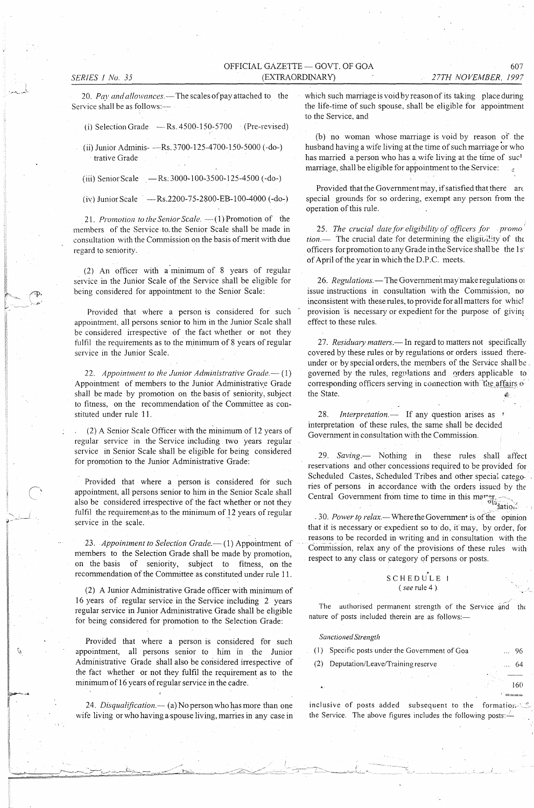*27TH NOVEMBER. 1997* 

20. Pay and allowances.—The scales of pay attached to the Service shall be as follows:-

(i) Selection Grade  $-$  Rs. 4500-150-5700 (Pre-revised)

(ii) Junior Adminis- --Rs. 3700-125-4700-150-5000 (-do-) trative Grade

(iii) Senior Scale  $-Rs:3000-100-3500-125-4500$  (-do-)

(iv) Junior Scale  $-$ Rs.2200-75-2800-EB-100-4000 (-do-)

21. *Promotion to the Senior Scale.* - (1) Promotion of the members of the Service to the Senior Scale shall be made in consultation with the Commission on the basis of merit with due regard to seniority.

(2) An officer with a minimum of  $8$  years of regular service in the Junior Scale of the Service shall be eligible for being considered for appointment to the Senior Scale:

Provided that where a person is considered for such appointment, all persons senior to him in the Junior Scale shall be considered irrespective of the fact whether or not they fulfil the requirements as to the minimum of 8 years of regular service in the Junior Scale.

22. *Appointment to the Junior Administrative Grade.*-- (1) Appointment of members to the Junior Administrative Grade shall be made by promotion on the basis of seniority, subject to fitness, on the recommendation of the Committee as constituted under rule 11.

(2) A Senior Scale Officer with the minimum of 12 years of regular service in the Service including two years regular service in Senior Scale shall be eligible for being considered for promotion to the Junior Administrative Grade:

Provided that where a person is considered for such appointment, all persons senior to him in the Senior Scale shall also be considered irrespective of the fact whether or not they fulfil the requirement as to the minimum of 12 years of regular service in the scale.

23. *Appointment to Selection Grade.*—(1) Appointment of members to the Selection Grade shall be made by promotion, on the basis of seniority, subject to fitness, on the recommendation of the Committee as constituted under rule 11.

(2) A Junior Administrative Grade officer with minimum of 16 years of regular service in the Service including 2 years regular service in Junior Administrative Grade shall be eligible for being considered for promotion to the Selection Grade:

Provided that where a person is considered for such appointment, all persons senior to him in the Junior Administrative Grade shall also be considered irrespective of the fact whether or not they fulfil the requirement as to the minimum of 16 years of regular service in the cadre.

24. *Disqualification.* - (a) No person who has more than one wife living or who having a spouse living, marries in any case in which such marriage is void by reason of its taking place during the life-time of such spouse, shall be eligible for appointment to the Service, and

(b) no woman whose marriage is void by reason of the husband having a wife living at the time of such marriage or who has married a person who has a wife living at the time of suc<sup>1</sup> marriage, shall be eligible for appointment to the Service:

Provided that the Government may, if satisfied that there are special grounds for so ordering, exempt any person from the operation of this rule.

*25. The crucial date for eligibility of officers for* . *promo tion.*— The crucial date for determining the eligibility of the officers for promotion to any Grade in the Service shall be the 1 s' of April of the year in which the D.P.C. meets.

26. *Regulations* - The Government may make regulations of issue instructions in consultation with the Commission, no' inconsistent with these rules, to provide for all matters for whicl provision 'is necessary or expedient for the purpose of giving effect to these rules.

27. *Residuary matters*. - In regard to matters not specifically covered by these rules or by regulations or orders issued thereunder or by special orders, the members of the Service shall be governed by the rules, regulations and orders applicable to corresponding officers serving in connection with file affairs of the State.

28. *Interpretation.*— If any question arises as interpretation of these rules, the same shall be decided Government in consultation with the Commission.

*29. Saving.-* Nothing in these rules shall affect reservations and other concessions required to be provided for Scheduled Castes, Scheduled Tribes and other special categories of persons in accordance with the orders issued by the Central Government from time to time in this mat  $\sigma_{\text{1a}}^{\text{1a}}$  .  $\sigma_{\text{2a}}^{\text{1a}}$ 

-30. *Power t9 relax.-*Where the Govemment is of the opinion that it is necessary or expedient so to do, it may, by order, for reasons to be recorded in writing and in consultation with the Commission, relax any of the provisions of these rules with respect to any class or category of persons or posts.

# SCHEDULE<sub>1</sub> *(see* rule 4 )

The authorised permanent strength of the Service and the nature of posts included therein are as follows:-

*Sanctioned Strength* 

| (1) Specific posts under the Government of Goa |  | 96          |
|------------------------------------------------|--|-------------|
| (2) Deputation/Leave/Training reserve          |  | $\ldots$ 64 |

160

 $\mathcal{L} = \mathcal{L}$ 

inclusive of posts added subsequent to the formation- $\zeta$ the Service. The above figures includes the following posts:-

607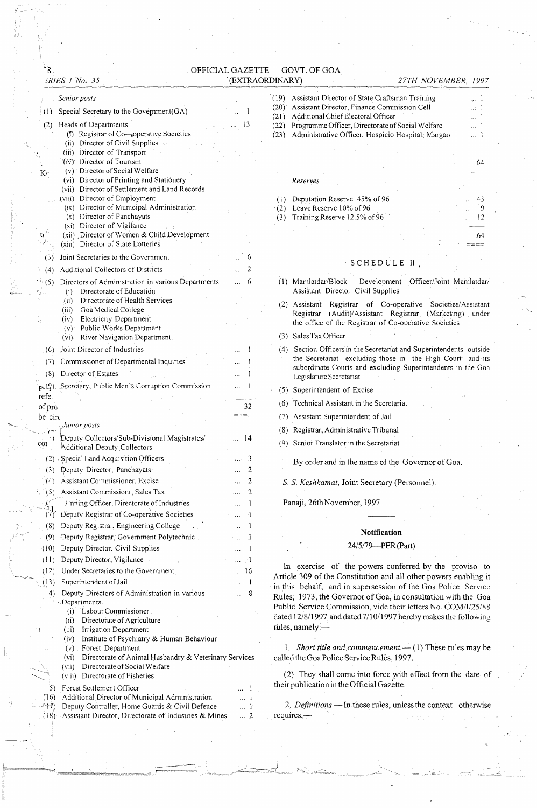OFFICIAL GAZETTE - GOVT. OF GOA (EXTRAORDINARY)

# *:,'RIES 1 No. 35*

"8

#### . (EXTRAORDINARy) *27TH NOVEMBER, 1997*

|                | Senior posts                                                                                      |                |
|----------------|---------------------------------------------------------------------------------------------------|----------------|
| (1)            | Special Secretary to the Government(GA)                                                           |                |
| (2)            | Heads of Departments                                                                              | 13             |
|                | (i) Registrar of Co-operative Societies                                                           |                |
|                | (ii) Director of Civil Supplies                                                                   |                |
|                | (iii) Director of Transport                                                                       |                |
| K <sub>c</sub> | (iv) Director of Tourism<br>(v) Director of Social Welfare                                        |                |
|                | (vi) Director of Printing and Stationery.                                                         |                |
|                | (vii) Director of Settlement and Land Records                                                     |                |
|                | (viii) Director of Employment<br>(ix) Director of Municipal Administration                        |                |
|                | (x) Director of Panchayats                                                                        |                |
|                | (xi) Director of Vigilance                                                                        |                |
|                | (xii) Director of Women & Child Development<br>(xiii) Director of State Lotteries                 |                |
|                |                                                                                                   |                |
| (3)            | Joint Secretaries to the Government                                                               | 6              |
| (4)            | Additional Collectors of Districts                                                                | 2              |
| (5)            | Directors of Administration in various Departments<br>(i) Directorate of Education                | 6              |
|                | Directorate of Health Services<br>(ii)                                                            |                |
|                | (iii) Goa Medical College                                                                         |                |
|                | (iv) Electricity Department                                                                       |                |
|                | (v) Public Works Department<br>River Navigation Department.<br>(v <sub>1</sub> )                  |                |
| (6)            | Joint Director of Industries                                                                      | 1              |
| (7)            | Commissioner of Departmental Inquiries                                                            | 1              |
| (8)            | Director of Estates                                                                               | . 1            |
|                | p. (9) Secretary, Public Men's Corruption Commission                                              | $\cdot$ 1      |
| refe.          |                                                                                                   |                |
| of pro         |                                                                                                   | 32             |
| be circ        |                                                                                                   |                |
|                | Junior posts                                                                                      |                |
| coi            | Deputy Collectors/Sub-Divisional Magistrates/<br>Additional Deputy Collectors                     | 14             |
|                | (2) Special Land Acquisition Officers                                                             | 3              |
|                | (3) Deputy Director, Panchayats                                                                   | 2              |
| (4)            | Assistant Commissioner, Excise                                                                    | 2<br>الووه     |
| (5)            | Assistant Commissionr, Sales Tax                                                                  | 2              |
|                | If nning Officer, Directorate of Industries<br>Deputy Registrar of Co-operative Societies         | 1              |
| (7)<br>(8)     | Deputy Registrar, Engineering College                                                             | 4<br>1         |
| (9)            | Deputy Registrar, Government Polytechnic                                                          | -1             |
| (10)           | Deputy Director, Civil Supplies                                                                   | 1              |
| (11)           | Deputy Director, Vigilance                                                                        | $\cdot$ 1      |
| (12)           | Under Secretaries to the Government                                                               | 16             |
| (13)           | Superintendent of Jail                                                                            | Ŧ              |
| $^{(4)}$       | Deputy Directors of Administration in various                                                     | 8              |
|                | Departments.<br>Labour Commissioner                                                               |                |
|                | (i)<br>(ii)<br>Directorate of Agriculture                                                         |                |
|                | (iii)<br>Irrigation Department                                                                    |                |
|                | Institute of Psychiatry & Human Behaviour<br>(iv)<br>$\epsilon$                                   |                |
|                | (v)<br>Forest Department<br>Directorate of Animal Husbandry & Veterinary Services<br>(vi)         |                |
|                | (vii)<br>Directorate of Social Welfare                                                            |                |
|                | (viii)<br>Directorate of Fisheries                                                                |                |
| 5)             | Forest Settlement Officer                                                                         |                |
| :T6)<br>17)    | Additional Director of Municipal Administration<br>Deputy Controller, Home Guards & Civil Defence | 1<br>ŀ         |
| $(18)^{3}$     | Assistant Director, Directorate of Industries & Mines                                             | $\overline{c}$ |
|                |                                                                                                   |                |
|                |                                                                                                   |                |

| (19) | Assistant Director of State Craftsman Training                                    |  |  |  |  |     |
|------|-----------------------------------------------------------------------------------|--|--|--|--|-----|
| (20) | Assistant Director, Finance Commission Cell<br>Additional Chief Electoral Officer |  |  |  |  |     |
| (21) |                                                                                   |  |  |  |  |     |
| (22) | Programme Officer, Directorate of Social Welfare                                  |  |  |  |  |     |
| (23) | Administrative Officer, Hospicio Hospital, Margao                                 |  |  |  |  |     |
|      |                                                                                   |  |  |  |  |     |
|      |                                                                                   |  |  |  |  | 64  |
|      |                                                                                   |  |  |  |  |     |
|      | Reserves                                                                          |  |  |  |  |     |
|      | Deputation Reserve 45% of 96                                                      |  |  |  |  |     |
| (2)  | Leave Reserve 10% of 96                                                           |  |  |  |  |     |
| (3)  | Training Reserve 12.5% of 96                                                      |  |  |  |  | 12  |
|      |                                                                                   |  |  |  |  | .64 |
|      |                                                                                   |  |  |  |  |     |

### S C H E D U L E II

(I) Mamlatdar/Block Development Officer/Joint Mamlatdar/ Assistant Director Civil Supplies

- (2) Assistant Registrar of Co-operative Societies/Assistant Registrar (Audit)/Assistant Registrar. (Marketing) . under the office of the Registrar of Co-operative Societies
- (3) Sales Tax Officer
- (4) Section Officers in the Secretariat and Superintendents outside the Secretariat excluding those in the High Court and its subordinate Courts and excluding Superintendents in the Goa Legislature Secretariat
- (5) Superintendent of Excise
- (6) Technical Assistant in the Secretariat
- (7) Assistant Superintendent of Jail
- (8) Registrar, Administrative Tribunal
- (9) Senior Translator in the Secretariat

By order and in the name of the Governor of Goa.

s. S. *Keshkamat,* Joint Secretary (Personnel).

Panaji, 26th November, 1997.

#### **Notification**

### 24/5/79-PER(Part)

In exercise of the powers conferred by the proviso to Article 309 of the Constitution and all other powers enabling it in this behalf, and in supersession of the Goa Police Service Rules; 1973, the Governor of Goa, in consultation with the Goa Public Service Commission, vide their letters No. COM/I/25/88 dated 12/8/1997 and dated 7/10/1997 hereby makes the following rules, namely:-

1. Short title and commencement.-- (1) These rules may be called the Goa Police Service Rules, 1997.

(2) They shall come into force with effect from the date of their publication in the Official Gazette.

2. *Definitions*.-In these rules, unless the context otherwise requires,-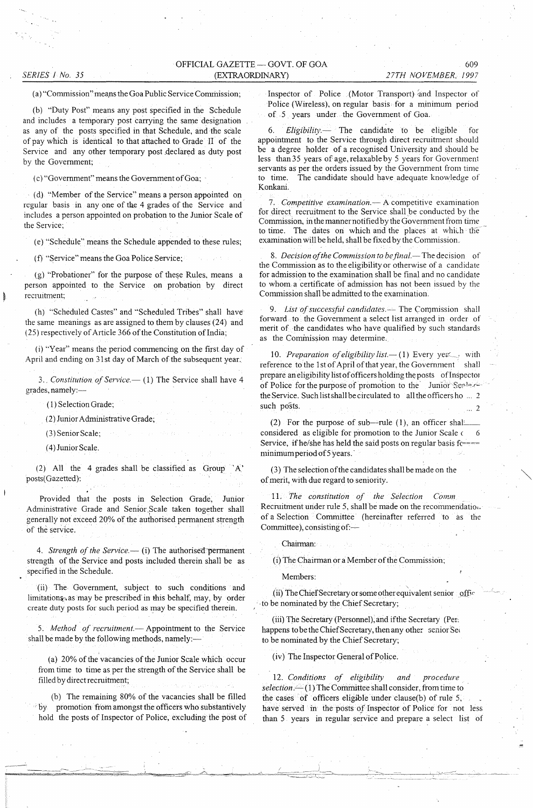# OFFICIAL GAZETTE - GOVT. OF GOA (EX1RAORDINARY)

*SERIES 1 No. 35* 

#### (a) "Commission" means the Goa Public Service Commission;

(b) "Duty Post" means any post specified in the Schedule and includes a temporary post carrying the same designation as any of the posts specified in that Schedule, and the scale of pay which is identical to that attached to Grade II of the Service and any other temporary post declared as duty post by the Government;

(c) "Govemment" means the Govemment of Goa; .

(d) "Member of the Service" means a person appointed on regular basis in anyone of the 4 grades of the Service and includes a person appointed on probation to the Junior Scale of the Service;

(e) "Schedule" means the Schedule appended to these rules;

(f) "Service" means the Goa Police Service;

(g) "Probationer" for the purpose of these Rules, means a person appointed to the Service on probation by direct recruitment;

(h) "Scheduled Castes" and "Scheduled Tribes" shall have the same meanings as are assigned to them by clauses (24) and (25) respectively of Article 366 of the Constitution of India;

(i) "Year" means the period commencing on the first day of April and ending on 31st day of March of the subsequent year.

3. Constitution of Service.-- (1) The Service shall have 4 grades, namely:-

(I) Selection Grade;

(2) Junior Administrative Grade;

(3) Senior Scale;

(4) Junior Scale.

(2) All the 4 grades shall be classified as Group 'A' posts(Gazetted):

Provided that the posts in Selection Grade, Junior Administrative Grade and Senior, Scale taken together shall generally not exceed 20% of the authorised permanent strength of the service. .

4. Strength of the Service.-- (i) The authorised permanent strength of the Service and posts included therein shall be as specified in the Schedule.

(ii) The Government, subject to such conditions and limitations, as may be prescribed in this behalf, may, by order create duty posts for such period as may be specified therein.

5. Method of recruitment.- Appointment to the Service shall be made by the following methods, namely:-

(a) 20% of the vacancies of the Junior Scale which occur from time to time as per the strength of the Service shall be filled by direct recruitment;

(b) The remaining 80% of the vacancies shall be filled : by promotion from amongst the officers who substantively hold the posts of Inspector of Police, excluding the post of Inspector of Police (Motor Transport) and Inspector of Police (Wireless), on regular basis for a minimum period of 5 years under the Government of Goa.

*Eligibility.* The candidate to be eligible for appointment to the Service through direct recruitment should be a degree holder of a recognised University and should be less than 35 years of age, relaxable by 5 years for Government servants as per the orders issued by the Government from time to time. The candidate should have adequate knowledge of Konkani.

*7. Competitive examination.-* A competitive examination for direct recruitment to the Service shall be conducted by the Commission, in the manner notified by the Government from time to time. The dates on which and the places at which the examination will be held, shall be fixed by the Commission.

8. Decision of the Commission to be final.-The decision of the Commission as to the eligibility or otherwise of a candidate for admission to the examination shall be final and no candidate to whom a certificate of admission has not been issued by the Commission shall be admitted to the examination.

9. List of successful candidates.<sup>1</sup> The Commission shall forward to the Government a select list arranged in order of merit of the candidates who have qualified by such standards as the Commission may determine.

10. Preparation of eligibility list -- (1) Every yez<sub>,</sub> with reference to the 1st of April of that year, the Government shall prepare an eligibility list of officers holding the posts of Inspector of Police for the purpose of promotion to the Junior Sealer the Service. Such list shall be circulated to all the officers ho ... 2 such posts.

(2) For the purpose of sub--rule (1), an officer shall considered as eligible for promotion to the Junior Scale  $\epsilon = 6$ Service, if he/she has held the said posts on regular basis fc==== minimum period of5 years. '

(3) The selection of the candidates shall be made on the of merit, with due regard to seniority.

*11. The constitution of the Selection Comm*  Recruitment under rule 5, shall be made on the recommendation. of a Selection Committee' (hereinafter referred to as the Committee), consisting of:-

Chairman:

(i) The Chairman or a Member of the Commission;

Members:

(ii) The Chief Secretary or some other equivalent senior official . to be nominated by the Chief Secretary;

(iii) The Secretary (Personnel), and if the Secretary (Per. happens to be the Chief Secretary, then any other senior Seq to be nominated by the Chief Secretary;

(iv) The Inspector General of Police.

*12. Conditions of eligibility and procedure*  selection.<sup>---</sup>(1) The Committee shall consider, from time to the cases of officers eligible under clause(b) of rule 5, have served in the posts *of* Inspector of Police for not less than 5 years in regular service and prepare a select list of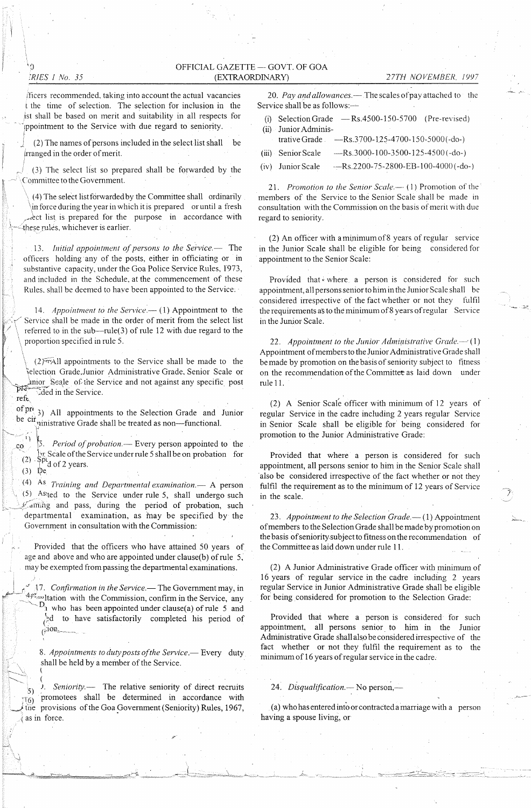# OFFICIAL GAZETTE - GOVT. OF GOA (EXTRAORDINARY) 27TH NOVEMBER, 1997

iTicers recommended, taking into account the actual vacancies t the time of selection. The selection for inclusion in the ist shall be based on merit and suitability in all respects for ppointment to the Service with due regard to seniority.

(2) The names of persons included in the select list shall be !rranged in the order of merit.

(3) The select list so prepared shall be forwarded by the Committee to the Government.

(4) The select list forwarded by the Committee shall ordinarily in force during the year in which it is prepared or until a fresh rect list is prepared for the purpose in accordance with these rules, whichever is earlier.

13. *Initial appointment of persons to the Service.*- The officers holding any of the posts, either in officiating or in substantive capacity, under the Goa Police Service Rules, 1973, and included in the Schedule, at the commencement of these Rules, shall be deemed to have been appointed to the Service:

14. *Appointment to the Service* - (1) Appointment to the Service shall be made in the order of merit from the select list referred to in the sub-rule(3) of rule 12 with due regard to the proportion specified in rule S.

 $(2)$ <sup>to</sup> $A$ ll appointments to the Service shall be made to the Selection Grade, Junior Administrative Grade, Senior Scale or  $\mu$ nior Seale of the Service and not against any specific post চাই ded in the Service. reft

of  $pr_{(3)}$  All appointments to the Selection Grade and Junior be  $\overrightarrow{cir}$  quinistrative Grade shall be treated as non-functional.

co <sup>1</sup> 5. *Period of probation*.— Every person appointed to the It Scale of the Service under rule 5 shall be on probation for  $(2)$ . Spt d of 2 years.

 $(3)$  De

~

(4) As *Training and Departmental* examination.~ A person (5) As:ted to the Service under rule S, shall undergo such  $y'$  aming and pass, during the period of probation, such departmental examination, as may be specified by the Government in consultation with the Commission:

Provided that the officers who have attained SO years of age and above and who are appointed under clause(b) of rule S, may be exempted from passing the departmental examinations.

17. Confirmation in the Service.-The Government may, in  $4f^*$  ltation with the Commission, confirm in the Service, any  $D_1$  who has been appointed under clause(a) of rule 5 and /~d to have satisfactorily completed his period of  $\lim_{(r) \to \infty}$ 

8. *Appointments to duty posts of the Service*. Every duty shall be held by a member of the Service.

 $\searrow$  ( 5) J. *Seniority.-* The relative seniority of direct recruits  $\frac{1}{16}$  promotees shall be determined in accordance with the provisions of the Goa Government (Seniority) Rules, 1967, .( as in force.

20. Pay and allowances.— The scales of pay attached to the Service shall be as follows:-

- (i) Selection Grade  $-$  Rs.4500-150-5700 (Pre-revised)
- (ii) Junior Administrative Grade ----Rs.3700-125-4700-150-5000(-do-)
- (iii) Senior Scale  $-$ Rs.3000-100-3500-125-4500 (-do-)
- (iv) Junior Scale  $-Rs.2200-75-2800-EB-100-4000(-do-)$

21. *Promotion to the Senior Scale*.-- (1) Promotion of the members of the Service to the Senior Scale shall be made in consultation with the Commission on the basis of merit with due regard to seniority,

(2) An officer with a minimum of 8 years of regular service in the Junior Scale shall be eligible for being considered for appointment to the Senior Scale:

Provided that where a person is considered for such appointment, all persons senior to him in the Junior Scale shall be considered irrespective of the fact whether or not they fulfil the requirements as to the minimum of 8 years of regular Service in the Junior Scale.

22. Appointment to the Junior Administrative Grade. $-$ ' (1) Appointment of members to the Junior Administrative Grade shall be made by promotion on the basis of seniority subject to fitness on the recommendation of the Committee as laid down under rule 11.

(2) A Senior Scale officer with minimum of 12 years of regular Service in the cadre including 2 years regular Service in Senior Scale shall be eligible for being considered for promotion to the Junior Administrative Grade:

Provided that where a person is considered for such appointment, all persons senior to him in the Senior Scale shall 'also be considered irrespective of the fact whether or not they fulfil the requirement as to the minimum of 12 years of Service in the scale.

23. Appointment to the Selection Grade.-(1) Appointment of members to the Selection Grade shall be made by promotion on the basis of seniority, subject to fitness on the recommendation of the Committee-as laid down under rule 11.

(2) A Junior Administrative Grade officer with minimum of 16 years of regular service in the cadre including 2 years regular Service in Junior Administrative Grade shall be eligible for being considered for promotion to the Selection Grade:

Provided that where a person is considered for such appointment, all persons senior to him in the Junior Administrative Grade shall also be considered irrespective of the fact whether or not they fulfil the requirement as to the minimum of 16 years of regular service in the cadre.

24. Disqualification.-- No person,-

(a) who has entered into or contraeted a marriage with a person having a spouse living, or

~ J

iQ